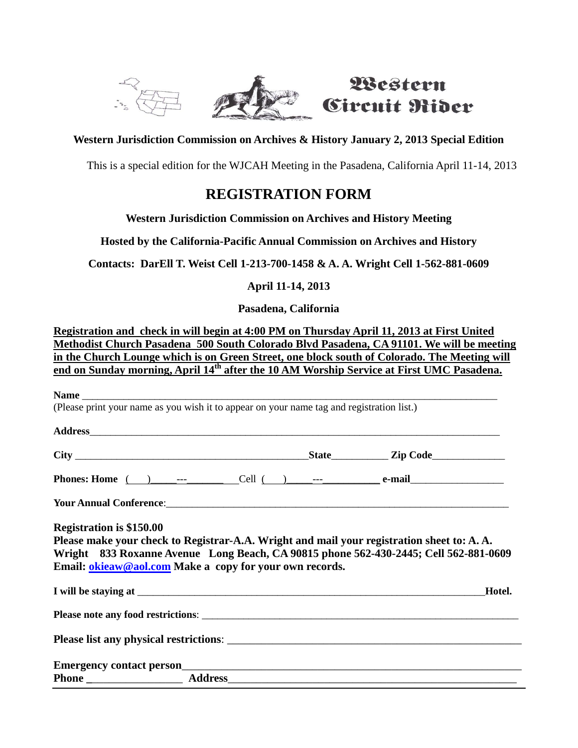

# Western Circuit Rider

#### **Western Jurisdiction Commission on Archives & History January 2, 2013 Special Edition**

This is a special edition for the WJCAH Meeting in the Pasadena, California April 11-14, 2013

## **REGISTRATION FORM**

#### **Western Jurisdiction Commission on Archives and History Meeting**

**Hosted by the California-Pacific Annual Commission on Archives and History** 

**Contacts: DarEll T. Weist Cell 1-213-700-1458 & A. A. Wright Cell 1-562-881-0609**

#### **April 11-14, 2013**

**Pasadena, California**

**Registration and check in will begin at 4:00 PM on Thursday April 11, 2013 at First United Methodist Church Pasadena 500 South Colorado Blvd Pasadena, CA 91101. We will be meeting in the Church Lounge which is on Green Street, one block south of Colorado. The Meeting will end on Sunday morning, April 14th after the 10 AM Worship Service at First UMC Pasadena.** 

| (Please print your name as you wish it to appear on your name tag and registration list.)                                                       |  |        |
|-------------------------------------------------------------------------------------------------------------------------------------------------|--|--------|
|                                                                                                                                                 |  |        |
|                                                                                                                                                 |  |        |
|                                                                                                                                                 |  |        |
| <b>Phones:</b> Home $\qquad$ ) --- Cell $\qquad$ - -- Cell $\qquad$ --- $\qquad$ e-mail                                                         |  |        |
|                                                                                                                                                 |  |        |
| Please make your check to Registrar-A.A. Wright and mail your registration sheet to: A.A.                                                       |  |        |
| Wright 833 Roxanne Avenue Long Beach, CA 90815 phone 562-430-2445; Cell 562-881-0609<br>Email: okieaw@aol.com Make a copy for your own records. |  |        |
|                                                                                                                                                 |  | Hotel. |
|                                                                                                                                                 |  |        |
|                                                                                                                                                 |  |        |
|                                                                                                                                                 |  |        |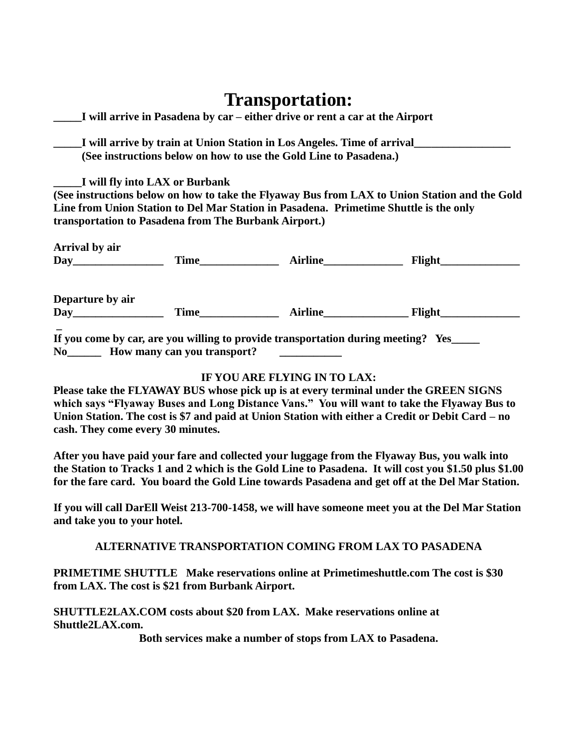# **Transportation:**

|                                                       | I will arrive in Pasadena by car – either drive or rent a car at the Airport          |                                                                                               |
|-------------------------------------------------------|---------------------------------------------------------------------------------------|-----------------------------------------------------------------------------------------------|
|                                                       |                                                                                       | I will arrive by train at Union Station in Los Angeles. Time of arrival                       |
|                                                       | (See instructions below on how to use the Gold Line to Pasadena.)                     |                                                                                               |
| I will fly into LAX or Burbank                        |                                                                                       |                                                                                               |
|                                                       |                                                                                       | (See instructions below on how to take the Flyaway Bus from LAX to Union Station and the Gold |
|                                                       | Line from Union Station to Del Mar Station in Pasadena. Primetime Shuttle is the only |                                                                                               |
| transportation to Pasadena from The Burbank Airport.) |                                                                                       |                                                                                               |
| Arrival by air                                        |                                                                                       |                                                                                               |
|                                                       |                                                                                       |                                                                                               |
| Departure by air                                      |                                                                                       |                                                                                               |
| Day                                                   |                                                                                       | Time Airline Flight                                                                           |
| No How many can you transport?                        | If you come by car, are you willing to provide transportation during meeting? Yes____ |                                                                                               |

#### **IF YOU ARE FLYING IN TO LAX:**

**Please take the FLYAWAY BUS whose pick up is at every terminal under the GREEN SIGNS which says "Flyaway Buses and Long Distance Vans." You will want to take the Flyaway Bus to Union Station. The cost is \$7 and paid at Union Station with either a Credit or Debit Card – no cash. They come every 30 minutes.**

**After you have paid your fare and collected your luggage from the Flyaway Bus, you walk into the Station to Tracks 1 and 2 which is the Gold Line to Pasadena. It will cost you \$1.50 plus \$1.00 for the fare card. You board the Gold Line towards Pasadena and get off at the Del Mar Station.** 

**If you will call DarEll Weist 213-700-1458, we will have someone meet you at the Del Mar Station and take you to your hotel.** 

**ALTERNATIVE TRANSPORTATION COMING FROM LAX TO PASADENA**

**PRIMETIME SHUTTLE Make reservations online at Primetimeshuttle.com The cost is \$30 from LAX. The cost is \$21 from Burbank Airport.** 

**SHUTTLE2LAX.COM costs about \$20 from LAX. Make reservations online at Shuttle2LAX.com.**

**Both services make a number of stops from LAX to Pasadena.**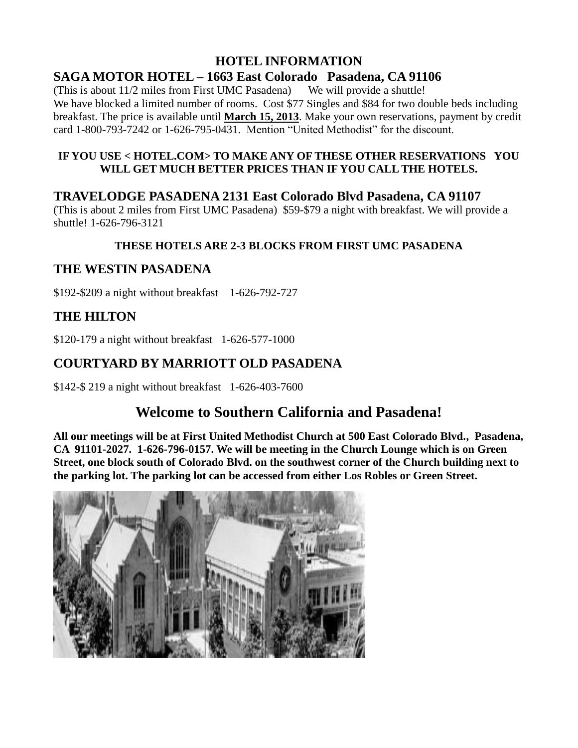#### **HOTEL INFORMATION SAGA MOTOR HOTEL – 1663 East Colorado Pasadena, CA 91106**

(This is about  $11/2$  miles from First UMC Pasadena) We will provide a shuttle! We have blocked a limited number of rooms. Cost \$77 Singles and \$84 for two double beds including breakfast. The price is available until **March 15, 2013**. Make your own reservations, payment by credit card 1-800-793-7242 or 1-626-795-0431. Mention "United Methodist" for the discount.

#### **IF YOU USE < HOTEL.COM> TO MAKE ANY OF THESE OTHER RESERVATIONS YOU WILL GET MUCH BETTER PRICES THAN IF YOU CALL THE HOTELS.**

## **TRAVELODGE PASADENA 2131 East Colorado Blvd Pasadena, CA 91107**

(This is about 2 miles from First UMC Pasadena) \$59-\$79 a night with breakfast. We will provide a shuttle! 1-626-796-3121

### **THESE HOTELS ARE 2-3 BLOCKS FROM FIRST UMC PASADENA**

## **THE WESTIN PASADENA**

\$192-\$209 a night without breakfast 1-626-792-727

## **THE HILTON**

\$120-179 a night without breakfast 1-626-577-1000

## **COURTYARD BY MARRIOTT OLD PASADENA**

\$142-\$ 219 a night without breakfast 1-626-403-7600

## **Welcome to Southern California and Pasadena!**

**All our meetings will be at First United Methodist Church at 500 East Colorado Blvd., Pasadena, CA 91101-2027. 1-626-796-0157. We will be meeting in the Church Lounge which is on Green Street, one block south of Colorado Blvd. on the southwest corner of the Church building next to the parking lot. The parking lot can be accessed from either Los Robles or Green Street.**

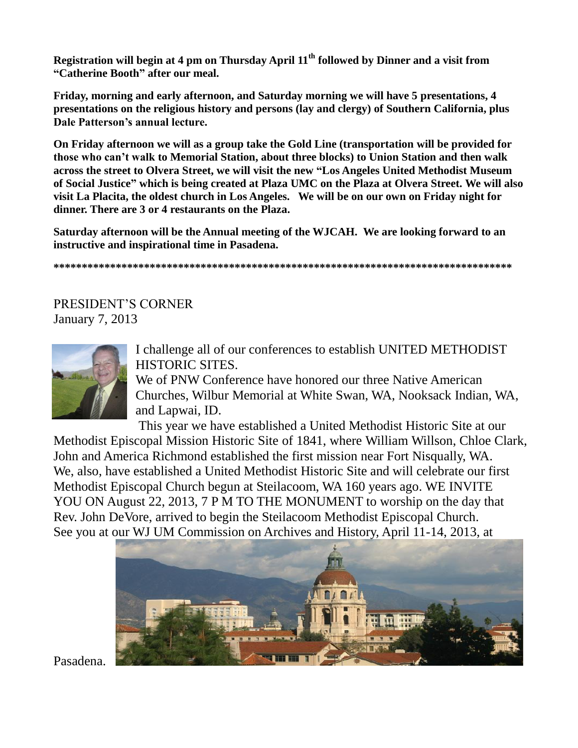**Registration will begin at 4 pm on Thursday April 11th followed by Dinner and a visit from "Catherine Booth" after our meal.** 

**Friday, morning and early afternoon, and Saturday morning we will have 5 presentations, 4 presentations on the religious history and persons (lay and clergy) of Southern California, plus Dale Patterson's annual lecture.**

**On Friday afternoon we will as a group take the Gold Line (transportation will be provided for those who can't walk to Memorial Station, about three blocks) to Union Station and then walk across the street to Olvera Street, we will visit the new "Los Angeles United Methodist Museum of Social Justice" which is being created at Plaza UMC on the Plaza at Olvera Street. We will also visit La Placita, the oldest church in Los Angeles. We will be on our own on Friday night for dinner. There are 3 or 4 restaurants on the Plaza.** 

**Saturday afternoon will be the Annual meeting of the WJCAH. We are looking forward to an instructive and inspirational time in Pasadena.** 

**\*\*\*\*\*\*\*\*\*\*\*\*\*\*\*\*\*\*\*\*\*\*\*\*\*\*\*\*\*\*\*\*\*\*\*\*\*\*\*\*\*\*\*\*\*\*\*\*\*\*\*\*\*\*\*\*\*\*\*\*\*\*\*\*\*\*\*\*\*\*\*\*\*\*\*\*\*\*\*\*\***

PRESIDENT'S CORNER January 7, 2013



I challenge all of our conferences to establish UNITED METHODIST HISTORIC SITES.

We of PNW Conference have honored our three Native American Churches, Wilbur Memorial at White Swan, WA, Nooksack Indian, WA, and Lapwai, ID.

This year we have established a United Methodist Historic Site at our

Methodist Episcopal Mission Historic Site of 1841, where William Willson, Chloe Clark, John and America Richmond established the first mission near Fort Nisqually, WA. We, also, have established a United Methodist Historic Site and will celebrate our first Methodist Episcopal Church begun at Steilacoom, WA 160 years ago. WE INVITE YOU ON August 22, 2013, 7 P M TO THE MONUMENT to worship on the day that Rev. John DeVore, arrived to begin the Steilacoom Methodist Episcopal Church. See you at our WJ UM Commission on Archives and History, April 11-14, 2013, at



Pasadena.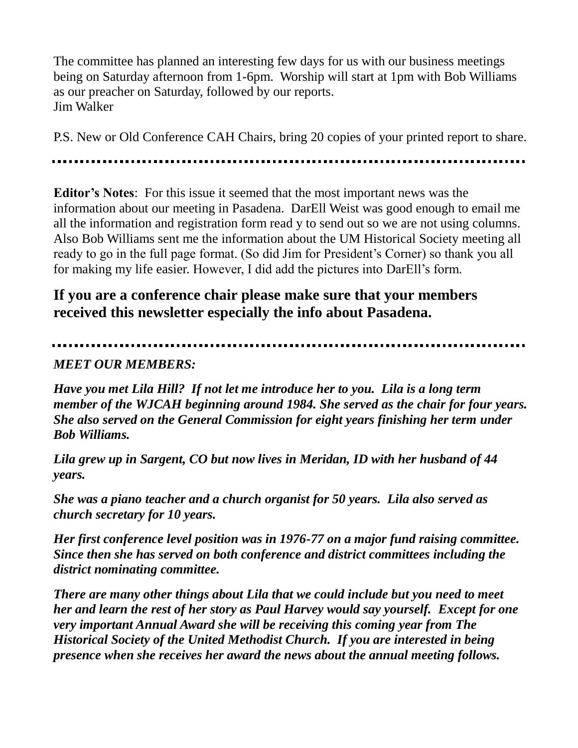The committee has planned an interesting few days for us with our business meetings being on Saturday afternoon from 1-6pm. Worship will start at 1pm with Bob Williams as our preacher on Saturday, followed by our reports. Jim Walker

P.S. New or Old Conference CAH Chairs, bring 20 copies of your printed report to share.

**Editor's Notes**: For this issue it seemed that the most important news was the information about our meeting in Pasadena. DarEll Weist was good enough to email me all the information and registration form read y to send out so we are not using columns. Also Bob Williams sent me the information about the UM Historical Society meeting all ready to go in the full page format. (So did Jim for President's Corner) so thank you all for making my life easier. However, I did add the pictures into DarEll's form.

## **If you are a conference chair please make sure that your members received this newsletter especially the info about Pasadena.**

## *MEET OUR MEMBERS:*

*Have you met Lila Hill? If not let me introduce her to you. Lila is a long term member of the WJCAH beginning around 1984. She served as the chair for four years. She also served on the General Commission for eight years finishing her term under Bob Williams.*

*Lila grew up in Sargent, CO but now lives in Meridan, ID with her husband of 44 years.*

*She was a piano teacher and a church organist for 50 years. Lila also served as church secretary for 10 years.*

*Her first conference level position was in 1976-77 on a major fund raising committee. Since then she has served on both conference and district committees including the district nominating committee.* 

*There are many other things about Lila that we could include but you need to meet her and learn the rest of her story as Paul Harvey would say yourself. Except for one very important Annual Award she will be receiving this coming year from The Historical Society of the United Methodist Church. If you are interested in being presence when she receives her award the news about the annual meeting follows.*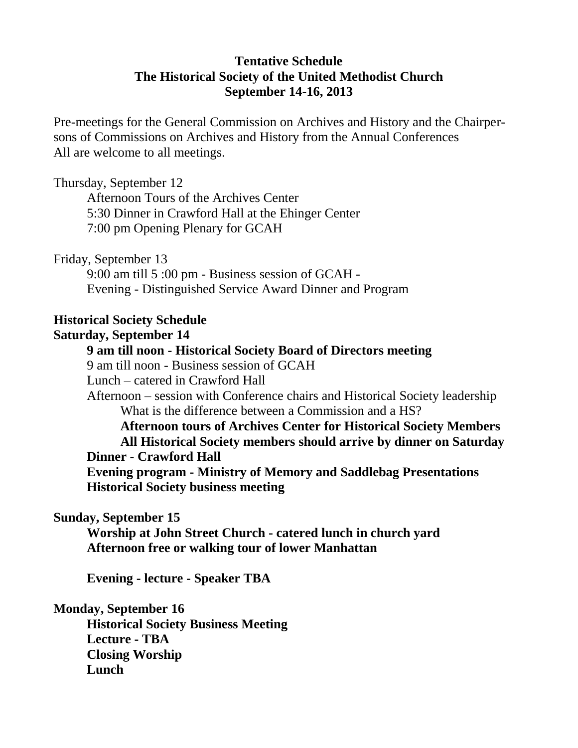## **Tentative Schedule The Historical Society of the United Methodist Church September 14-16, 2013**

Pre-meetings for the General Commission on Archives and History and the Chairpersons of Commissions on Archives and History from the Annual Conferences All are welcome to all meetings.

Thursday, September 12

Afternoon Tours of the Archives Center 5:30 Dinner in Crawford Hall at the Ehinger Center 7:00 pm Opening Plenary for GCAH

Friday, September 13

9:00 am till 5 :00 pm - Business session of GCAH - Evening - Distinguished Service Award Dinner and Program

## **Historical Society Schedule**

#### **Saturday, September 14**

## **9 am till noon - Historical Society Board of Directors meeting**

9 am till noon - Business session of GCAH

Lunch – catered in Crawford Hall

Afternoon – session with Conference chairs and Historical Society leadership What is the difference between a Commission and a HS?

**Afternoon tours of Archives Center for Historical Society Members All Historical Society members should arrive by dinner on Saturday Dinner - Crawford Hall Evening program - Ministry of Memory and Saddlebag Presentations** 

**Historical Society business meeting** 

### **Sunday, September 15**

**Worship at John Street Church - catered lunch in church yard Afternoon free or walking tour of lower Manhattan** 

**Evening - lecture - Speaker TBA** 

### **Monday, September 16**

**Historical Society Business Meeting Lecture - TBA Closing Worship Lunch**